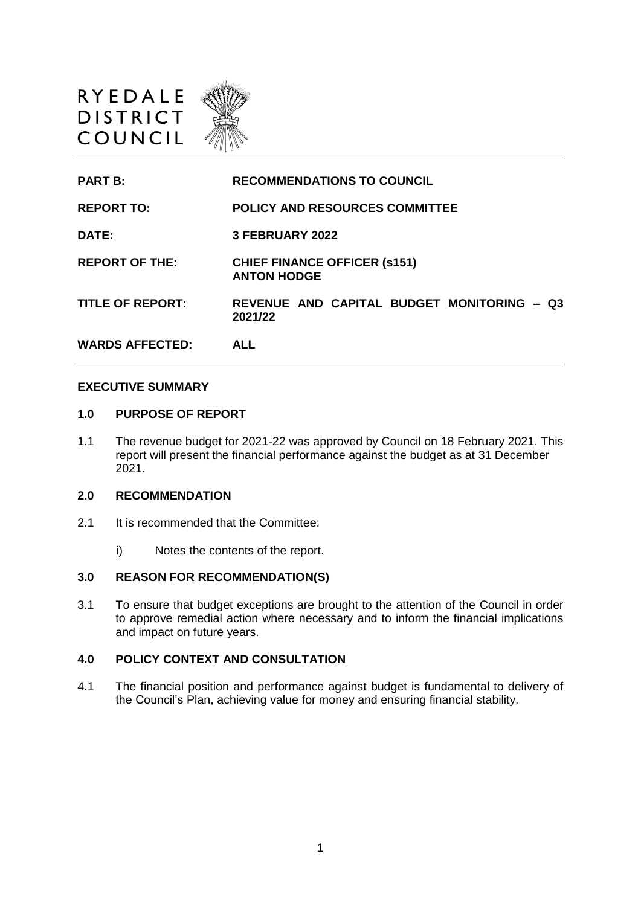

**PART B: RECOMMENDATIONS TO COUNCIL REPORT TO: POLICY AND RESOURCES COMMITTEE DATE: 3 FEBRUARY 2022 REPORT OF THE: CHIEF FINANCE OFFICER (s151) ANTON HODGE TITLE OF REPORT: REVENUE AND CAPITAL BUDGET MONITORING – Q3 2021/22 WARDS AFFECTED: ALL**

## **EXECUTIVE SUMMARY**

## **1.0 PURPOSE OF REPORT**

1.1 The revenue budget for 2021-22 was approved by Council on 18 February 2021. This report will present the financial performance against the budget as at 31 December 2021.

## **2.0 RECOMMENDATION**

- 2.1 It is recommended that the Committee:
	- i) Notes the contents of the report.

## **3.0 REASON FOR RECOMMENDATION(S)**

3.1 To ensure that budget exceptions are brought to the attention of the Council in order to approve remedial action where necessary and to inform the financial implications and impact on future years.

# **4.0 POLICY CONTEXT AND CONSULTATION**

4.1 The financial position and performance against budget is fundamental to delivery of the Council's Plan, achieving value for money and ensuring financial stability.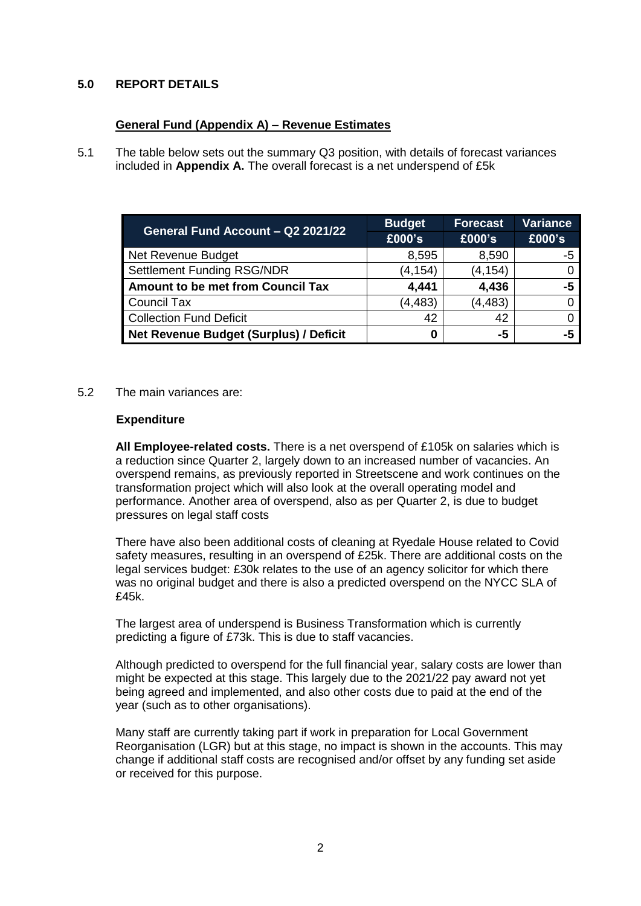# **5.0 REPORT DETAILS**

# **General Fund (Appendix A) – Revenue Estimates**

5.1 The table below sets out the summary Q3 position, with details of forecast variances included in **Appendix A.** The overall forecast is a net underspend of £5k

| General Fund Account - Q2 2021/22        | <b>Budget</b> | <b>Forecast</b> | <b>Variance</b> |
|------------------------------------------|---------------|-----------------|-----------------|
|                                          | £000's        | £000's          | £000's          |
| Net Revenue Budget                       | 8,595         | 8,590           | -5              |
| <b>Settlement Funding RSG/NDR</b>        | (4, 154)      | (4, 154)        |                 |
| <b>Amount to be met from Council Tax</b> | 4,441         | 4,436           | -5              |
| <b>Council Tax</b>                       | (4, 483)      | (4, 483)        |                 |
| <b>Collection Fund Deficit</b>           | 42            | 42              |                 |
| Net Revenue Budget (Surplus) / Deficit   |               | -5              | -5              |

5.2 The main variances are:

# **Expenditure**

**All Employee-related costs.** There is a net overspend of £105k on salaries which is a reduction since Quarter 2, largely down to an increased number of vacancies. An overspend remains, as previously reported in Streetscene and work continues on the transformation project which will also look at the overall operating model and performance. Another area of overspend, also as per Quarter 2, is due to budget pressures on legal staff costs

There have also been additional costs of cleaning at Ryedale House related to Covid safety measures, resulting in an overspend of £25k. There are additional costs on the legal services budget: £30k relates to the use of an agency solicitor for which there was no original budget and there is also a predicted overspend on the NYCC SLA of £45k.

The largest area of underspend is Business Transformation which is currently predicting a figure of £73k. This is due to staff vacancies.

Although predicted to overspend for the full financial year, salary costs are lower than might be expected at this stage. This largely due to the 2021/22 pay award not yet being agreed and implemented, and also other costs due to paid at the end of the year (such as to other organisations).

Many staff are currently taking part if work in preparation for Local Government Reorganisation (LGR) but at this stage, no impact is shown in the accounts. This may change if additional staff costs are recognised and/or offset by any funding set aside or received for this purpose.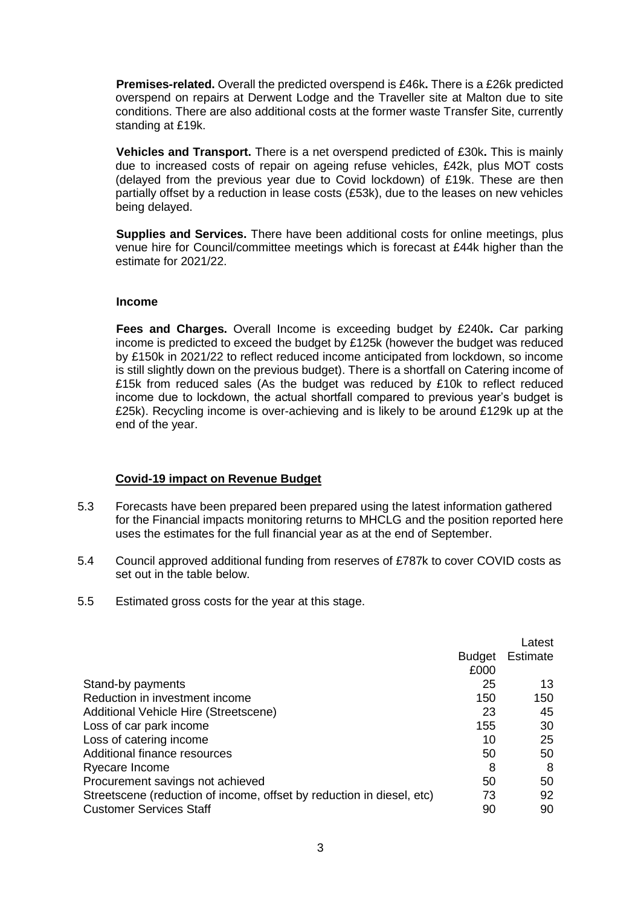**Premises-related.** Overall the predicted overspend is £46k**.** There is a £26k predicted overspend on repairs at Derwent Lodge and the Traveller site at Malton due to site conditions. There are also additional costs at the former waste Transfer Site, currently standing at £19k.

**Vehicles and Transport.** There is a net overspend predicted of £30k**.** This is mainly due to increased costs of repair on ageing refuse vehicles, £42k, plus MOT costs (delayed from the previous year due to Covid lockdown) of £19k. These are then partially offset by a reduction in lease costs (£53k), due to the leases on new vehicles being delayed.

**Supplies and Services.** There have been additional costs for online meetings, plus venue hire for Council/committee meetings which is forecast at £44k higher than the estimate for 2021/22.

## **Income**

**Fees and Charges.** Overall Income is exceeding budget by £240k**.** Car parking income is predicted to exceed the budget by £125k (however the budget was reduced by £150k in 2021/22 to reflect reduced income anticipated from lockdown, so income is still slightly down on the previous budget). There is a shortfall on Catering income of £15k from reduced sales (As the budget was reduced by £10k to reflect reduced income due to lockdown, the actual shortfall compared to previous year's budget is £25k). Recycling income is over-achieving and is likely to be around £129k up at the end of the year.

# **Covid-19 impact on Revenue Budget**

- 5.3 Forecasts have been prepared been prepared using the latest information gathered for the Financial impacts monitoring returns to MHCLG and the position reported here uses the estimates for the full financial year as at the end of September.
- 5.4 Council approved additional funding from reserves of £787k to cover COVID costs as set out in the table below.
- 5.5 Estimated gross costs for the year at this stage.

|                                                                       |        | Latest   |
|-----------------------------------------------------------------------|--------|----------|
|                                                                       | Budget | Estimate |
|                                                                       | £000   |          |
| Stand-by payments                                                     | 25     | 13       |
| Reduction in investment income                                        | 150    | 150      |
| Additional Vehicle Hire (Streetscene)                                 | 23     | 45       |
| Loss of car park income                                               | 155    | 30       |
| Loss of catering income                                               | 10     | 25       |
| Additional finance resources                                          | 50     | 50       |
| Ryecare Income                                                        | 8      | 8        |
| Procurement savings not achieved                                      | 50     | 50       |
| Streetscene (reduction of income, offset by reduction in diesel, etc) | 73     | 92       |
| <b>Customer Services Staff</b>                                        | 90     | 90       |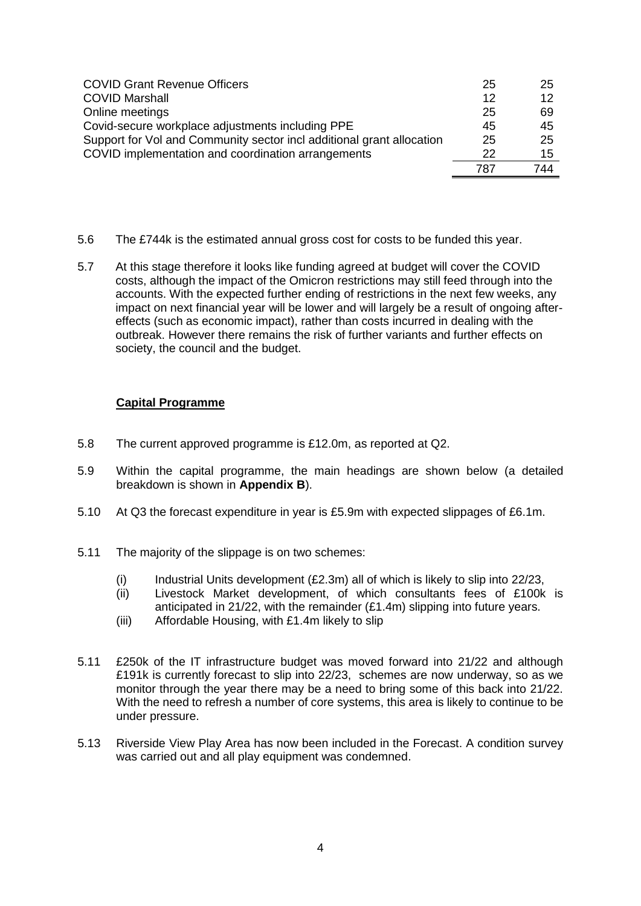| <b>COVID Grant Revenue Officers</b>                                   | 25  | 25  |
|-----------------------------------------------------------------------|-----|-----|
| <b>COVID Marshall</b>                                                 | 12  | 12  |
| Online meetings                                                       | 25  | 69  |
| Covid-secure workplace adjustments including PPE                      | 45  | 45  |
| Support for Vol and Community sector incl additional grant allocation | 25  | 25  |
| COVID implementation and coordination arrangements                    | 22  | 15  |
|                                                                       | 787 | 744 |

- 5.6 The £744k is the estimated annual gross cost for costs to be funded this year.
- 5.7 At this stage therefore it looks like funding agreed at budget will cover the COVID costs, although the impact of the Omicron restrictions may still feed through into the accounts. With the expected further ending of restrictions in the next few weeks, any impact on next financial year will be lower and will largely be a result of ongoing aftereffects (such as economic impact), rather than costs incurred in dealing with the outbreak. However there remains the risk of further variants and further effects on society, the council and the budget.

# **Capital Programme**

- 5.8 The current approved programme is £12.0m, as reported at Q2.
- 5.9 Within the capital programme, the main headings are shown below (a detailed breakdown is shown in **Appendix B**).
- 5.10 At Q3 the forecast expenditure in year is £5.9m with expected slippages of £6.1m.
- 5.11 The majority of the slippage is on two schemes:
	- (i) Industrial Units development  $(E2.3m)$  all of which is likely to slip into 22/23,
	- (ii) Livestock Market development, of which consultants fees of £100k is anticipated in 21/22, with the remainder (£1.4m) slipping into future years.
	- (iii) Affordable Housing, with £1.4m likely to slip
- 5.11 £250k of the IT infrastructure budget was moved forward into 21/22 and although £191k is currently forecast to slip into 22/23, schemes are now underway, so as we monitor through the year there may be a need to bring some of this back into 21/22. With the need to refresh a number of core systems, this area is likely to continue to be under pressure.
- 5.13 Riverside View Play Area has now been included in the Forecast. A condition survey was carried out and all play equipment was condemned.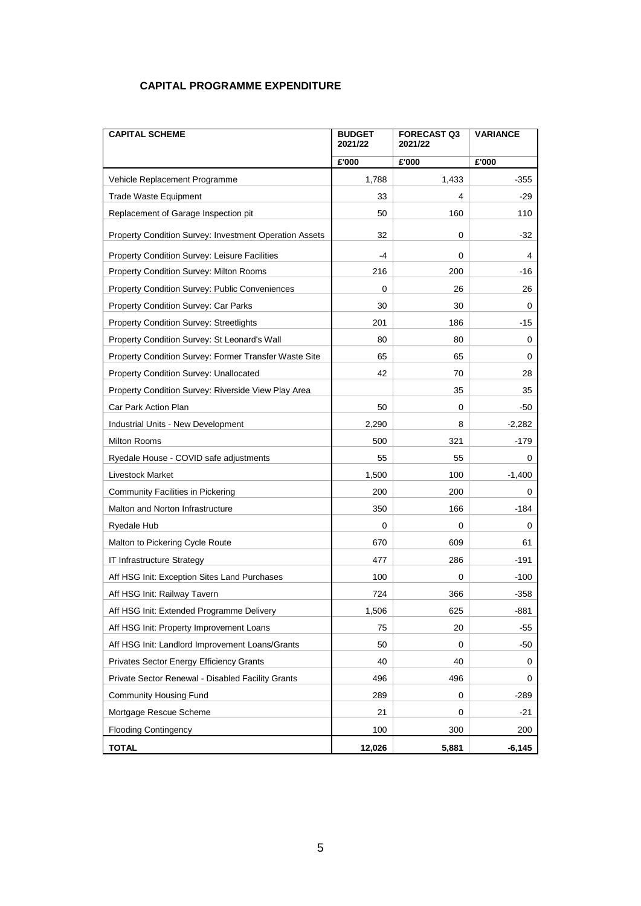# **CAPITAL PROGRAMME EXPENDITURE**

| <b>CAPITAL SCHEME</b>                                  | <b>BUDGET</b><br>2021/22 | <b>FORECAST Q3</b><br>2021/22 | <b>VARIANCE</b> |
|--------------------------------------------------------|--------------------------|-------------------------------|-----------------|
|                                                        | £'000                    | £'000                         | £'000           |
| Vehicle Replacement Programme                          | 1,788                    | 1,433                         | $-355$          |
| <b>Trade Waste Equipment</b>                           | 33                       | 4                             | -29             |
| Replacement of Garage Inspection pit                   | 50                       | 160                           | 110             |
| Property Condition Survey: Investment Operation Assets | 32                       | 0                             | $-32$           |
| Property Condition Survey: Leisure Facilities          | -4                       | 0                             | 4               |
| Property Condition Survey: Milton Rooms                | 216                      | 200                           | $-16$           |
| Property Condition Survey: Public Conveniences         | 0                        | 26                            | 26              |
| Property Condition Survey: Car Parks                   | 30                       | 30                            | 0               |
| <b>Property Condition Survey: Streetlights</b>         | 201                      | 186                           | -15             |
| Property Condition Survey: St Leonard's Wall           | 80                       | 80                            | 0               |
| Property Condition Survey: Former Transfer Waste Site  | 65                       | 65                            | 0               |
| Property Condition Survey: Unallocated                 | 42                       | 70                            | 28              |
| Property Condition Survey: Riverside View Play Area    |                          | 35                            | 35              |
| Car Park Action Plan                                   | 50                       | 0                             | -50             |
| Industrial Units - New Development                     | 2,290                    | 8                             | $-2,282$        |
| Milton Rooms                                           | 500                      | 321                           | $-179$          |
| Ryedale House - COVID safe adjustments                 | 55                       | 55                            | 0               |
| Livestock Market                                       | 1,500                    | 100                           | $-1,400$        |
| Community Facilities in Pickering                      | 200                      | 200                           | 0               |
| Malton and Norton Infrastructure                       | 350                      | 166                           | $-184$          |
| Ryedale Hub                                            | 0                        | 0                             | 0               |
| Malton to Pickering Cycle Route                        | 670                      | 609                           | 61              |
| IT Infrastructure Strategy                             | 477                      | 286                           | -191            |
| Aff HSG Init: Exception Sites Land Purchases           | 100                      | 0                             | $-100$          |
| Aff HSG Init: Railway Tavern                           | 724                      | 366                           | -358            |
| Aff HSG Init: Extended Programme Delivery              | 1,506                    | 625                           | $-881$          |
| Aff HSG Init: Property Improvement Loans               | 75                       | 20                            | -55             |
| Aff HSG Init: Landlord Improvement Loans/Grants        | 50                       | 0                             | -50             |
| <b>Privates Sector Energy Efficiency Grants</b>        | 40                       | 40                            | 0               |
| Private Sector Renewal - Disabled Facility Grants      | 496                      | 496                           | 0               |
| <b>Community Housing Fund</b>                          | 289                      | 0                             | $-289$          |
| Mortgage Rescue Scheme                                 | 21                       | 0                             | $-21$           |
| <b>Flooding Contingency</b>                            | 100                      | 300                           | 200             |
| <b>TOTAL</b>                                           | 12,026                   | 5,881                         | $-6,145$        |